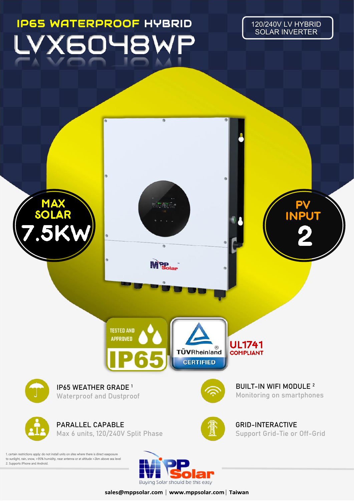## IP65 WATERPROOF HYBRID

120/240V LV HYBRID SOLAR INVERTER



sales@mppsolar.com | www.mppsolar.com | Taiwan